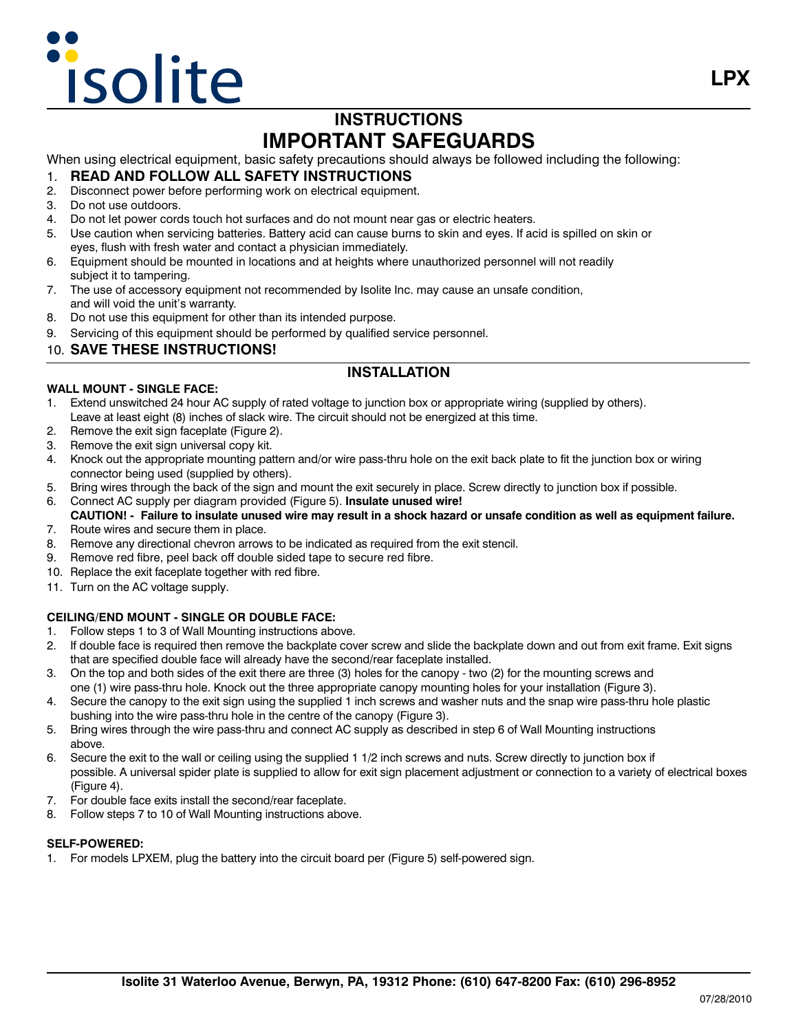# **isolite**

# **INSTRUCTIONS IMPORTANT SAFEGUARDS**

When using electrical equipment, basic safety precautions should always be followed including the following:

#### 1. **READ AND FOLLOW ALL SAFETY INSTRUCTIONS**

- 2. Disconnect power before performing work on electrical equipment.
- 3. Do not use outdoors.
- 4. Do not let power cords touch hot surfaces and do not mount near gas or electric heaters.
- 5. Use caution when servicing batteries. Battery acid can cause burns to skin and eyes. If acid is spilled on skin or eyes, flush with fresh water and contact a physician immediately.
- 6. Equipment should be mounted in locations and at heights where unauthorized personnel will not readily subject it to tampering.
- 7. The use of accessory equipment not recommended by Isolite Inc. may cause an unsafe condition, and will void the unit's warranty.
- 8. Do not use this equipment for other than its intended purpose.
- 9. Servicing of this equipment should be performed by qualified service personnel.

#### 10. **SAVE THESE INSTRUCTIONS!**

### **INSTALLATION**

#### **WALL MOUNT - SINGLE FACE:**

- 1. Extend unswitched 24 hour AC supply of rated voltage to junction box or appropriate wiring (supplied by others). Leave at least eight (8) inches of slack wire. The circuit should not be energized at this time.
- 2. Remove the exit sign faceplate (Figure 2).
- 3. Remove the exit sign universal copy kit.
- 4. Knock out the appropriate mounting pattern and/or wire pass-thru hole on the exit back plate to fit the junction box or wiring connector being used (supplied by others).
- 5. Bring wires through the back of the sign and mount the exit securely in place. Screw directly to junction box if possible.
- 6. Connect AC supply per diagram provided (Figure 5). **Insulate unused wire!**
- **CAUTION! - Failure to insulate unused wire may result in a shock hazard or unsafe condition as well as equipment failure.**
- 7. Route wires and secure them in place.
- 8. Remove any directional chevron arrows to be indicated as required from the exit stencil.
- 9. Remove red fibre, peel back off double sided tape to secure red fibre.
- 10. Replace the exit faceplate together with red fibre.
- 11. Turn on the AC voltage supply.

#### **CEILING/END MOUNT - SINGLE OR DOUBLE FACE:**

- 1. Follow steps 1 to 3 of Wall Mounting instructions above.
- 2. If double face is required then remove the backplate cover screw and slide the backplate down and out from exit frame. Exit signs that are specified double face will already have the second/rear faceplate installed.
- 3. On the top and both sides of the exit there are three (3) holes for the canopy two (2) for the mounting screws and one (1) wire pass-thru hole. Knock out the three appropriate canopy mounting holes for your installation (Figure 3).
- 4. Secure the canopy to the exit sign using the supplied 1 inch screws and washer nuts and the snap wire pass-thru hole plastic bushing into the wire pass-thru hole in the centre of the canopy (Figure 3).
- 5. Bring wires through the wire pass-thru and connect AC supply as described in step 6 of Wall Mounting instructions above.
- 6. Secure the exit to the wall or ceiling using the supplied 1 1/2 inch screws and nuts. Screw directly to junction box if possible. A universal spider plate is supplied to allow for exit sign placement adjustment or connection to a variety of electrical boxes (Figure 4).
- 7. For double face exits install the second/rear faceplate.
- 8. Follow steps 7 to 10 of Wall Mounting instructions above.

#### **SELF-POWERED:**

1. For models LPXEM, plug the battery into the circuit board per (Figure 5) self-powered sign.

**LPX**